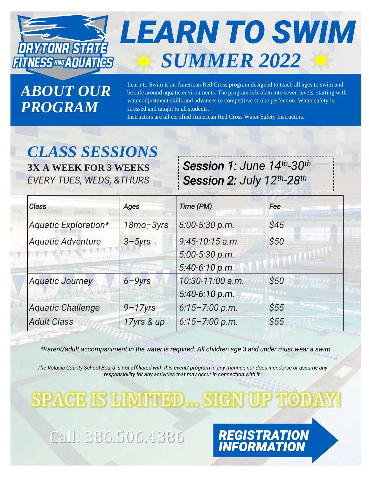

# **LEARN TO SWIM** *SUMMER 2022*

*ABOUT OUR PROGRAM*

Learn to Swim is an American Red Cross program designed to teach all ages to swim and be safe around aquatic environments. The program is broken into seven levels, starting with water adjustment skills and advances to competitive stroke perfection. Water safety is stressed and taught to all students.

Instructors are all certified American Red Cross Water Safety Instructors.

## *CLASS SESSIONS* **3X A WEEK FOR 3 WEEKS**

*EVERY TUES, WEDS, &THURS*

*Session 1: June 14th-30th Session 2: July 12th-28th*

*REGISTRATION<br>INFORMATION* 

| <b>Class</b>             | <b>Ages</b>  | Time (PM)                                               | Fee  |
|--------------------------|--------------|---------------------------------------------------------|------|
| Aquatic Exploration*     | 18mo-3yrs    | 5:00-5:30 p.m.                                          | \$45 |
| <b>Aquatic Adventure</b> | $3 - 5yrs$   | $9:45 - 10:15$ a.m.<br>5:00-5:30 p.m.<br>5:40-6:10 p.m. | \$50 |
| <b>Aquatic Journey</b>   | $6 - 9yrs$   | 10:30-11:00 a.m.<br>5:40-6:10 p.m.                      | \$50 |
| <b>Aquatic Challenge</b> | $9 - 17$ yrs | $6:15 - 7:00 p.m.$                                      | \$55 |
| <b>Adult Class</b>       | 17yrs & up   | $6:15 - 7:00 p.m.$                                      | \$55 |

*\*Parent/adult accompaniment in the water is required. All children age 3 and under must wear a swim* 

*The Volusia County School Board is not affiliated with this event/ program in any manner, nor does it endorse or assume any responsibility for any activities that may occur in connection with it.*

SPACE IS LIMITED... SIGN UP TO

Call: 386.506.4386